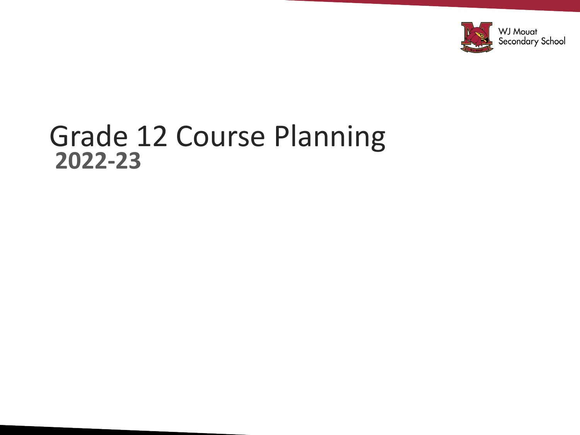

#### Grade 12 Course Planning **2022-23**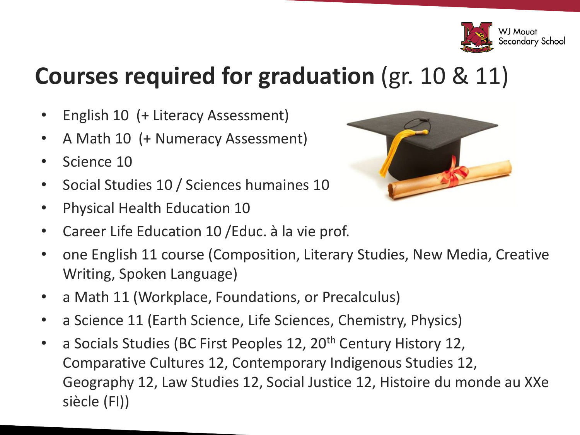

#### **Courses required for graduation** (gr. 10 & 11)

- English 10 (+ Literacy Assessment)
- A Math 10 (+ Numeracy Assessment)
- Science 10
- Social Studies 10 / Sciences humaines 10
- Physical Health Education 10
- Career Life Education 10 /Educ. à la vie prof.
- one English 11 course (Composition, Literary Studies, New Media, Creative Writing, Spoken Language)
- a Math 11 (Workplace, Foundations, or Precalculus)
- a Science 11 (Earth Science, Life Sciences, Chemistry, Physics)
- a Socials Studies (BC First Peoples 12, 20<sup>th</sup> Century History 12, Comparative Cultures 12, Contemporary Indigenous Studies 12, Geography 12, Law Studies 12, Social Justice 12, Histoire du monde au XXe siècle (FI))

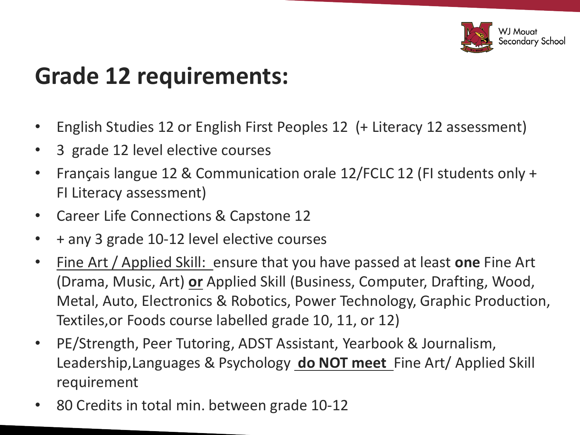

#### **Grade 12 requirements:**

- English Studies 12 or English First Peoples 12 (+ Literacy 12 assessment)
- 3 grade 12 level elective courses
- Français langue 12 & Communication orale 12/FCLC 12 (FI students only + FI Literacy assessment)
- Career Life Connections & Capstone 12
- + any 3 grade 10-12 level elective courses
- Fine Art / Applied Skill: ensure that you have passed at least **one** Fine Art (Drama, Music, Art) **or** Applied Skill (Business, Computer, Drafting, Wood, Metal, Auto, Electronics & Robotics, Power Technology, Graphic Production, Textiles,or Foods course labelled grade 10, 11, or 12)
- PE/Strength, Peer Tutoring, ADST Assistant, Yearbook & Journalism, Leadership,Languages & Psychology **do NOT meet** Fine Art/ Applied Skill requirement
- 80 Credits in total min. between grade 10-12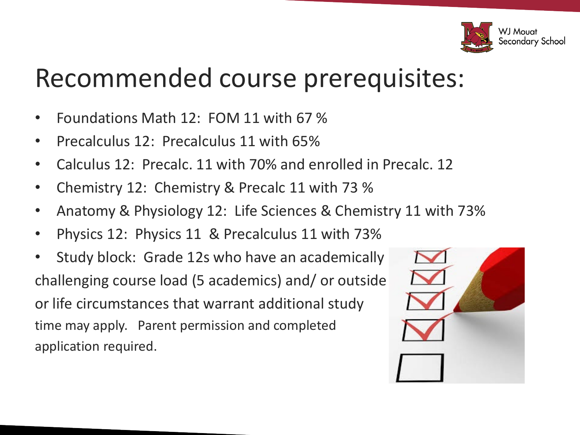

### Recommended course prerequisites:

- Foundations Math 12: FOM 11 with 67 %
- Precalculus 12: Precalculus 11 with 65%
- Calculus 12: Precalc. 11 with 70% and enrolled in Precalc. 12
- Chemistry 12: Chemistry & Precalc 11 with 73 %
- Anatomy & Physiology 12: Life Sciences & Chemistry 11 with 73%
- Physics 12: Physics 11 & Precalculus 11 with 73%
- Study block: Grade 12s who have an academically challenging course load (5 academics) and/ or outside or life circumstances that warrant additional study time may apply. Parent permission and completed application required.

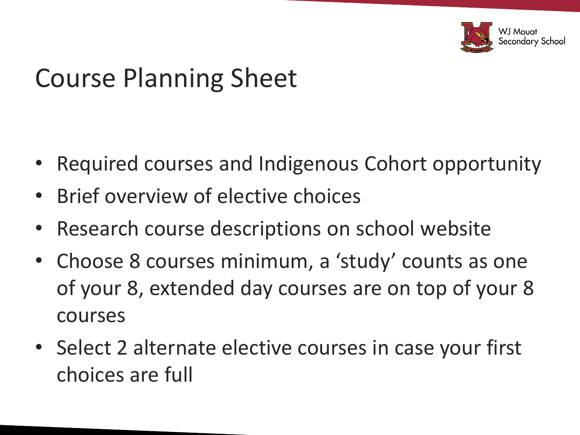

## Course Planning Sheet

- Required courses and Indigenous Cohort opportunity
- Brief overview of elective choices
- Research course descriptions on school website
- Choose 8 courses minimum, a 'study' counts as one of your 8, extended day courses are on top of your 8 courses
- Select 2 alternate elective courses in case your first choices are full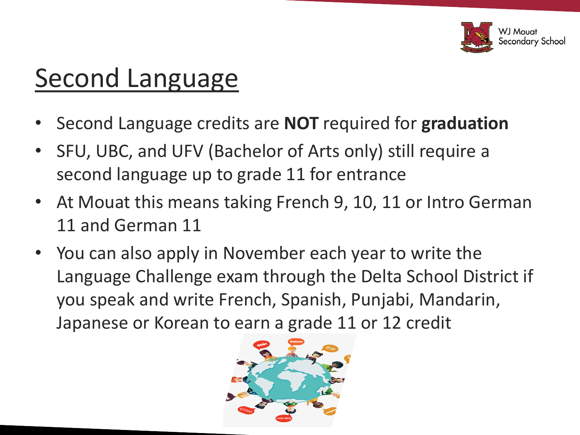

## Second Language

- Second Language credits are **NOT** required for **graduation**
- SFU, UBC, and UFV (Bachelor of Arts only) still require a second language up to grade 11 for entrance
- At Mouat this means taking French 9, 10, 11 or Intro German 11 and German 11
- You can also apply in November each year to write the Language Challenge exam through the Delta School District if you speak and write French, Spanish, Punjabi, Mandarin, Japanese or Korean to earn a grade 11 or 12 credit

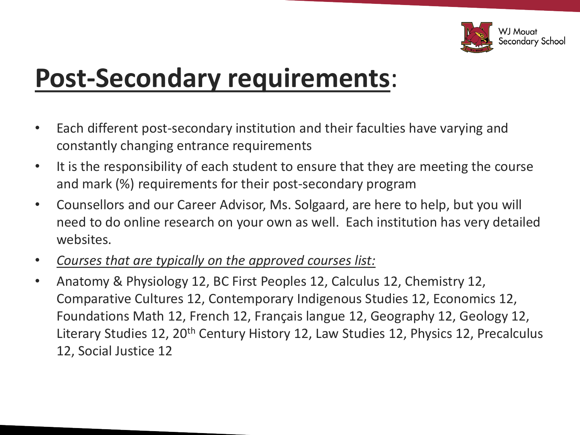

## **Post-Secondary requirements**:

- Each different post-secondary institution and their faculties have varying and constantly changing entrance requirements
- It is the responsibility of each student to ensure that they are meeting the course and mark (%) requirements for their post-secondary program
- Counsellors and our Career Advisor, Ms. Solgaard, are here to help, but you will need to do online research on your own as well. Each institution has very detailed websites.
- *Courses that are typically on the approved courses list:*
- Anatomy & Physiology 12, BC First Peoples 12, Calculus 12, Chemistry 12, Comparative Cultures 12, Contemporary Indigenous Studies 12, Economics 12, Foundations Math 12, French 12, Français langue 12, Geography 12, Geology 12, Literary Studies 12, 20<sup>th</sup> Century History 12, Law Studies 12, Physics 12, Precalculus 12, Social Justice 12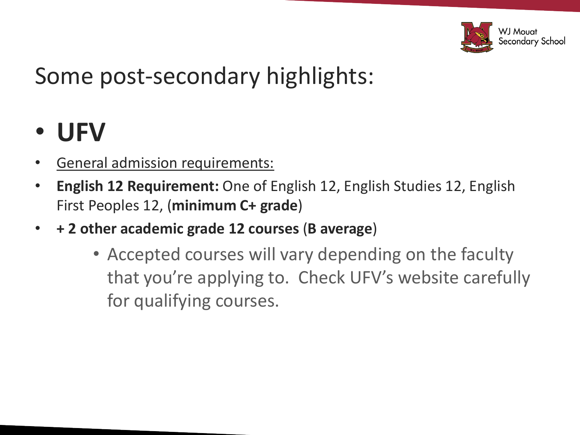

#### Some post-secondary highlights:

#### • **UFV**

- General admission requirements:
- **English 12 Requirement:** One of English 12, English Studies 12, English First Peoples 12, (**minimum C+ grade**)
- **+ 2 other academic grade 12 courses** (**B average**)
	- Accepted courses will vary depending on the faculty that you're applying to. Check UFV's website carefully for qualifying courses.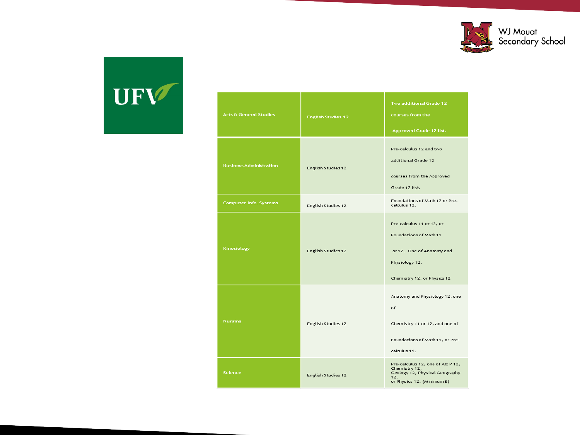

# UFV

| <b>Arts &amp; General Studies</b> | <b>English Studies 12</b> | Two additional Grade 12<br>courses from the<br><b>Approved Grade 12 list.</b>                                                     |
|-----------------------------------|---------------------------|-----------------------------------------------------------------------------------------------------------------------------------|
| <b>Business Administration</b>    | English Studies 12        | Pre-calculus 12 and two<br>additional Grade 12<br>courses from the Approved<br>Grade 12 list.                                     |
| <b>Computer Info. Systems</b>     | English Studies 12        | Foundations of Math 12 or Pre-<br>calculus 12.                                                                                    |
| Kinesiology                       | English Studies 12        | Pre-calculus 11 or 12, or<br>Foundations of Math 11<br>or 12. One of Anatomy and<br>Physiology 12,<br>Chemistry 12, or Physics 12 |
| <b>Nursing</b>                    | English Studies 12        | Anatomy and Physiology 12, one<br>of<br>Chemistry 11 or 12, and one of<br>Foundations of Math 11, or Pre-<br>calculus 11.         |
| Science                           | English Studies 12        | Pre-calculus 12, one of A& P 12,<br>Chemistry 12,<br>Geology 12, Physical Geography<br>12,<br>or Physics 12. (Minimum B)          |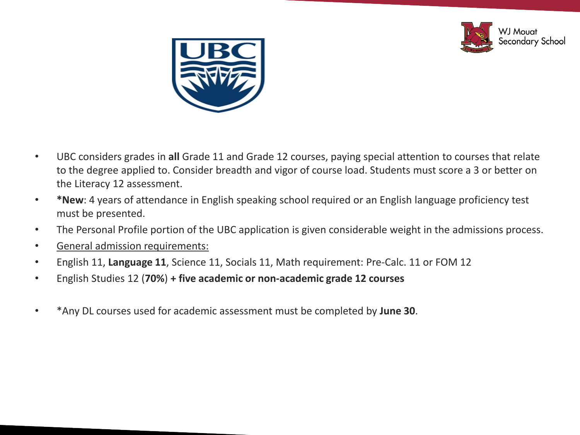



- UBC considers grades in **all** Grade 11 and Grade 12 courses, paying special attention to courses that relate to the degree applied to. Consider breadth and vigor of course load. Students must score a 3 or better on the Literacy 12 assessment.
- **\*New**: 4 years of attendance in English speaking school required or an English language proficiency test must be presented.
- The Personal Profile portion of the UBC application is given considerable weight in the admissions process.
- General admission requirements:
- English 11, **Language 11**, Science 11, Socials 11, Math requirement: Pre-Calc. 11 or FOM 12
- English Studies 12 (**70%**) **+ five academic or non-academic grade 12 courses**
- \*Any DL courses used for academic assessment must be completed by **June 30**.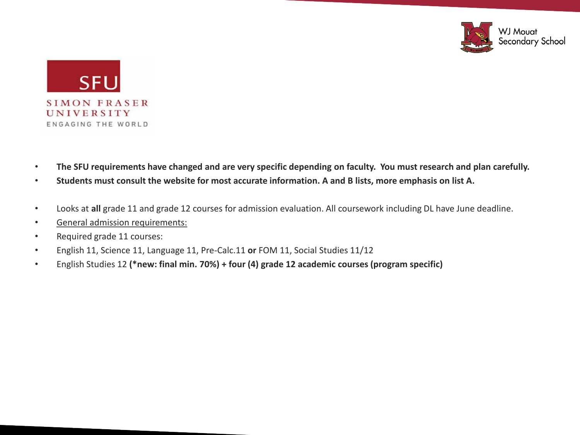



- **The SFU requirements have changed and are very specific depending on faculty. You must research and plan carefully.**
- **Students must consult the website for most accurate information. A and B lists, more emphasis on list A.**
- Looks at **all** grade 11 and grade 12 courses for admission evaluation. All coursework including DL have June deadline.
- General admission requirements:
- Required grade 11 courses:
- English 11, Science 11, Language 11, Pre-Calc.11 **or** FOM 11, Social Studies 11/12
- English Studies 12 **(\*new: final min. 70%) + four (4) grade 12 academic courses (program specific)**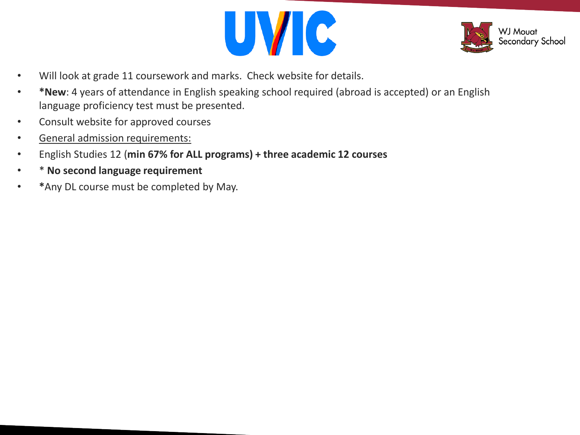



- Will look at grade 11 coursework and marks. Check website for details.
- **\*New**: 4 years of attendance in English speaking school required (abroad is accepted) or an English language proficiency test must be presented.
- Consult website for approved courses
- General admission requirements:
- English Studies 12 (**min 67% for ALL programs) + three academic 12 courses**
- \* **No second language requirement**
- **\***Any DL course must be completed by May.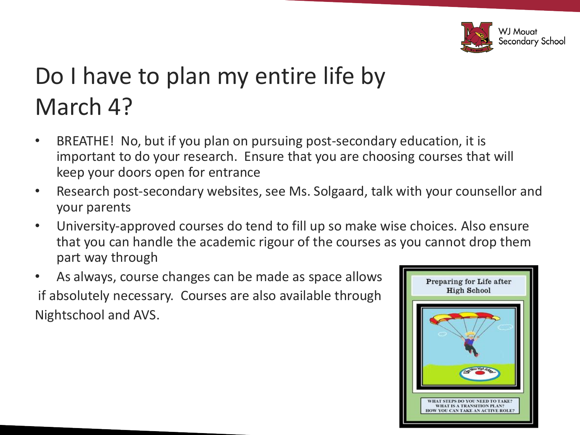

## Do I have to plan my entire life by March 4?

- BREATHE! No, but if you plan on pursuing post-secondary education, it is important to do your research. Ensure that you are choosing courses that will keep your doors open for entrance
- Research post-secondary websites, see Ms. Solgaard, talk with your counsellor and your parents
- University-approved courses do tend to fill up so make wise choices. Also ensure that you can handle the academic rigour of the courses as you cannot drop them part way through
- As always, course changes can be made as space allows if absolutely necessary. Courses are also available through Nightschool and AVS.